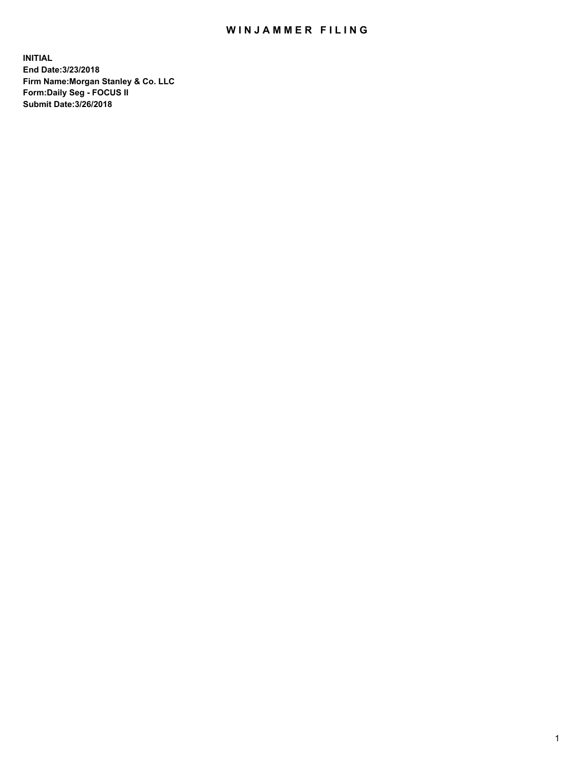## WIN JAMMER FILING

**INITIAL End Date:3/23/2018 Firm Name:Morgan Stanley & Co. LLC Form:Daily Seg - FOCUS II Submit Date:3/26/2018**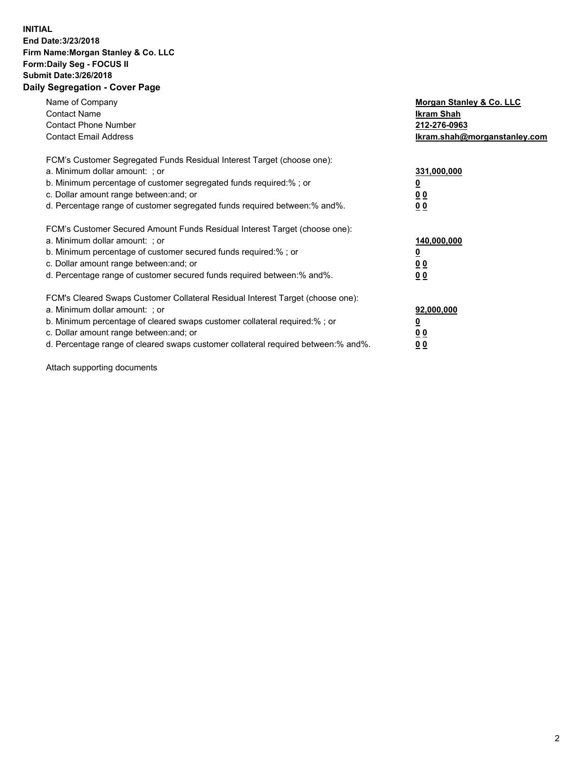## **INITIAL End Date:3/23/2018 Firm Name:Morgan Stanley & Co. LLC Form:Daily Seg - FOCUS II Submit Date:3/26/2018 Daily Segregation - Cover Page**

| Name of Company<br><b>Contact Name</b><br><b>Contact Phone Number</b><br><b>Contact Email Address</b>                                                                                                                                                                                                                          | Morgan Stanley & Co. LLC<br>Ikram Shah<br>212-276-0963<br>lkram.shah@morganstanley.com |
|--------------------------------------------------------------------------------------------------------------------------------------------------------------------------------------------------------------------------------------------------------------------------------------------------------------------------------|----------------------------------------------------------------------------------------|
| FCM's Customer Segregated Funds Residual Interest Target (choose one):<br>a. Minimum dollar amount: ; or<br>b. Minimum percentage of customer segregated funds required:%; or<br>c. Dollar amount range between: and; or<br>d. Percentage range of customer segregated funds required between:% and%.                          | 331,000,000<br><u>0</u><br>0 <sub>0</sub><br>00                                        |
| FCM's Customer Secured Amount Funds Residual Interest Target (choose one):<br>a. Minimum dollar amount: ; or<br>b. Minimum percentage of customer secured funds required:%; or<br>c. Dollar amount range between: and; or<br>d. Percentage range of customer secured funds required between:% and%.                            | 140,000,000<br>0 <sub>0</sub><br>0 <sub>0</sub>                                        |
| FCM's Cleared Swaps Customer Collateral Residual Interest Target (choose one):<br>a. Minimum dollar amount: ; or<br>b. Minimum percentage of cleared swaps customer collateral required:% ; or<br>c. Dollar amount range between: and; or<br>d. Percentage range of cleared swaps customer collateral required between:% and%. | 92,000,000<br>0 <sub>0</sub><br><u>00</u>                                              |

Attach supporting documents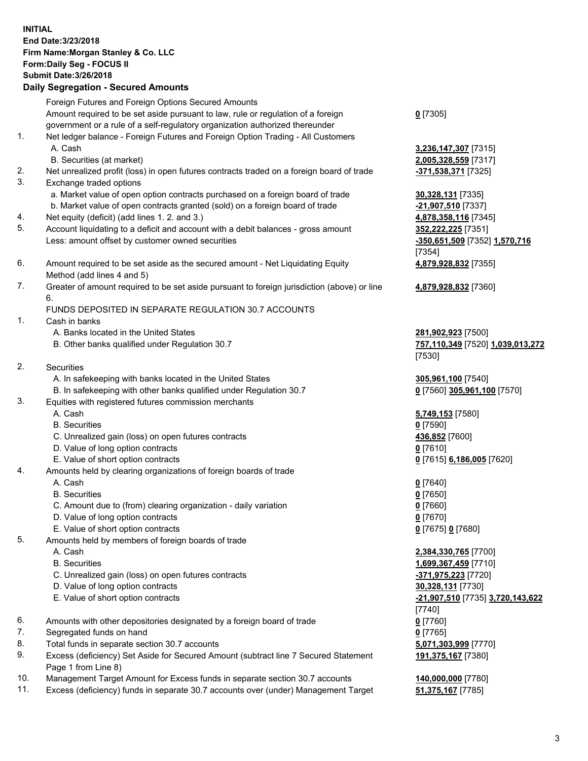## **INITIAL End Date:3/23/2018 Firm Name:Morgan Stanley & Co. LLC Form:Daily Seg - FOCUS II Submit Date:3/26/2018 Daily Segregation - Secured Amounts**

Foreign Futures and Foreign Options Secured Amounts Amount required to be set aside pursuant to law, rule or regulation of a foreign government or a rule of a self-regulatory organization authorized thereunder

- 1. Net ledger balance Foreign Futures and Foreign Option Trading All Customers A. Cash **3,236,147,307** [7315]
	- B. Securities (at market) **2,005,328,559** [7317]
- 2. Net unrealized profit (loss) in open futures contracts traded on a foreign board of trade **-371,538,371** [7325]
- 3. Exchange traded options
	- a. Market value of open option contracts purchased on a foreign board of trade **30,328,131** [7335]
	- b. Market value of open contracts granted (sold) on a foreign board of trade **-21,907,510** [7337]
- 4. Net equity (deficit) (add lines 1. 2. and 3.) **4,878,358,116** [7345]
- 5. Account liquidating to a deficit and account with a debit balances gross amount **352,222,225** [7351] Less: amount offset by customer owned securities **-350,651,509** [7352] **1,570,716**
- 6. Amount required to be set aside as the secured amount Net Liquidating Equity Method (add lines 4 and 5)
- 7. Greater of amount required to be set aside pursuant to foreign jurisdiction (above) or line 6.

## FUNDS DEPOSITED IN SEPARATE REGULATION 30.7 ACCOUNTS

- 1. Cash in banks
	- A. Banks located in the United States **281,902,923** [7500]
	- B. Other banks qualified under Regulation 30.7 **757,110,349** [7520] **1,039,013,272**
- 2. Securities
	- A. In safekeeping with banks located in the United States **305,961,100** [7540]
	- B. In safekeeping with other banks qualified under Regulation 30.7 **0** [7560] **305,961,100** [7570]
- 3. Equities with registered futures commission merchants
	-
	-
	- C. Unrealized gain (loss) on open futures contracts **436,852** [7600]
	- D. Value of long option contracts **0** [7610]
- E. Value of short option contracts **0** [7615] **6,186,005** [7620]
- 4. Amounts held by clearing organizations of foreign boards of trade
	-
	-
	- C. Amount due to (from) clearing organization daily variation **0** [7660]
	- D. Value of long option contracts **0** [7670]
	- E. Value of short option contracts **0** [7675] **0** [7680]
- 5. Amounts held by members of foreign boards of trade
	-
	-
	- C. Unrealized gain (loss) on open futures contracts **-371,975,223** [7720]
	- D. Value of long option contracts **30,328,131** [7730]
	- E. Value of short option contracts **-21,907,510** [7735] **3,720,143,622**
- 6. Amounts with other depositories designated by a foreign board of trade **0** [7760]
- 7. Segregated funds on hand **0** [7765]
- 8. Total funds in separate section 30.7 accounts **5,071,303,999** [7770]
- 9. Excess (deficiency) Set Aside for Secured Amount (subtract line 7 Secured Statement Page 1 from Line 8)
- 10. Management Target Amount for Excess funds in separate section 30.7 accounts **140,000,000** [7780]
- 11. Excess (deficiency) funds in separate 30.7 accounts over (under) Management Target **51,375,167** [7785]

**0** [7305]

[7354] **4,879,928,832** [7355]

**4,879,928,832** [7360]

[7530]

 A. Cash **5,749,153** [7580] B. Securities **0** [7590]

 A. Cash **0** [7640] B. Securities **0** [7650]

 A. Cash **2,384,330,765** [7700] B. Securities **1,699,367,459** [7710] [7740] **191,375,167** [7380]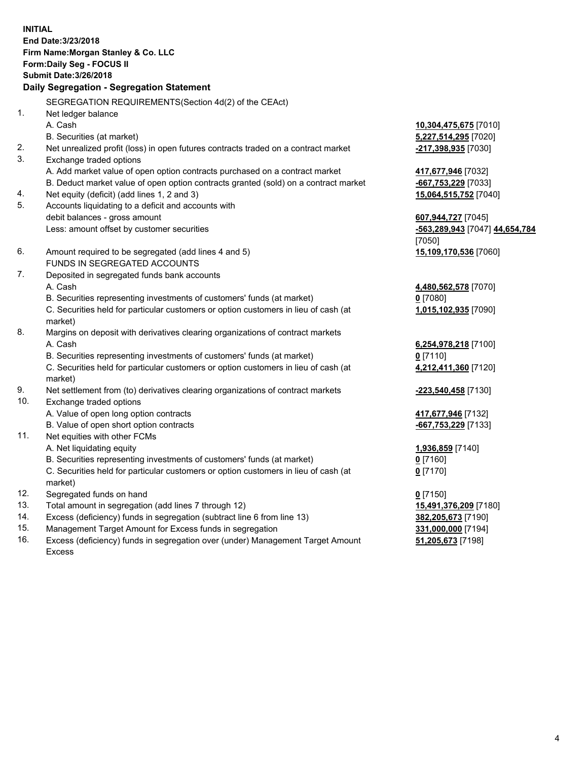**INITIAL End Date:3/23/2018 Firm Name:Morgan Stanley & Co. LLC Form:Daily Seg - FOCUS II Submit Date:3/26/2018 Daily Segregation - Segregation Statement** SEGREGATION REQUIREMENTS(Section 4d(2) of the CEAct) 1. Net ledger balance A. Cash **10,304,475,675** [7010] B. Securities (at market) **5,227,514,295** [7020] 2. Net unrealized profit (loss) in open futures contracts traded on a contract market **-217,398,935** [7030] 3. Exchange traded options A. Add market value of open option contracts purchased on a contract market **417,677,946** [7032] B. Deduct market value of open option contracts granted (sold) on a contract market **-667,753,229** [7033] 4. Net equity (deficit) (add lines 1, 2 and 3) **15,064,515,752** [7040] 5. Accounts liquidating to a deficit and accounts with debit balances - gross amount **607,944,727** [7045] Less: amount offset by customer securities **-563,289,943** [7047] **44,654,784** [7050] 6. Amount required to be segregated (add lines 4 and 5) **15,109,170,536** [7060] FUNDS IN SEGREGATED ACCOUNTS 7. Deposited in segregated funds bank accounts A. Cash **4,480,562,578** [7070] B. Securities representing investments of customers' funds (at market) **0** [7080] C. Securities held for particular customers or option customers in lieu of cash (at market) **1,015,102,935** [7090] 8. Margins on deposit with derivatives clearing organizations of contract markets A. Cash **6,254,978,218** [7100] B. Securities representing investments of customers' funds (at market) **0** [7110] C. Securities held for particular customers or option customers in lieu of cash (at market) **4,212,411,360** [7120] 9. Net settlement from (to) derivatives clearing organizations of contract markets **-223,540,458** [7130] 10. Exchange traded options A. Value of open long option contracts **417,677,946** [7132] B. Value of open short option contracts **-667,753,229** [7133] 11. Net equities with other FCMs A. Net liquidating equity **1,936,859** [7140] B. Securities representing investments of customers' funds (at market) **0** [7160] C. Securities held for particular customers or option customers in lieu of cash (at market) **0** [7170] 12. Segregated funds on hand **0** [7150] 13. Total amount in segregation (add lines 7 through 12) **15,491,376,209** [7180] 14. Excess (deficiency) funds in segregation (subtract line 6 from line 13) **382,205,673** [7190]

- 15. Management Target Amount for Excess funds in segregation **331,000,000** [7194]
- 16. Excess (deficiency) funds in segregation over (under) Management Target Amount Excess

**51,205,673** [7198]